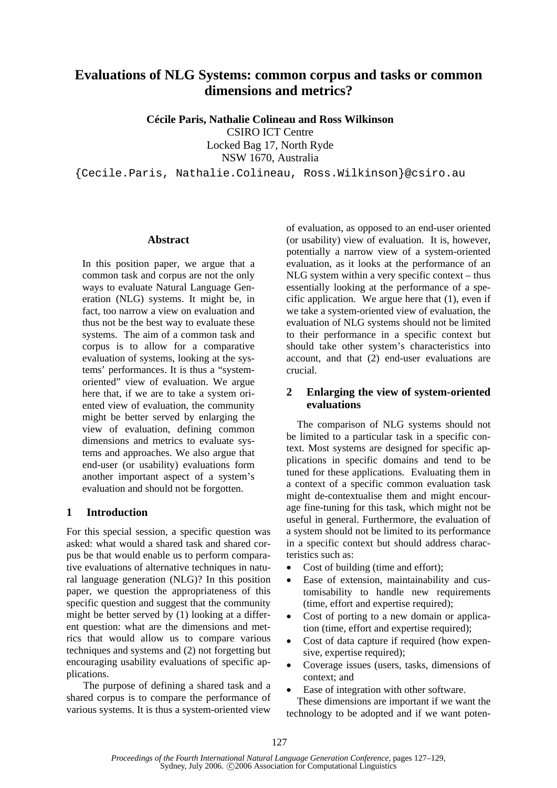# **Evaluations of NLG Systems: common corpus and tasks or common dimensions and metrics?**

**Cécile Paris, Nathalie Colineau and Ross Wilkinson** 

CSIRO ICT Centre Locked Bag 17, North Ryde

NSW 1670, Australia

{Cecile.Paris, Nathalie.Colineau, Ross.Wilkinson}@csiro.au

#### **Abstract**

In this position paper, we argue that a common task and corpus are not the only ways to evaluate Natural Language Generation (NLG) systems. It might be, in fact, too narrow a view on evaluation and thus not be the best way to evaluate these systems. The aim of a common task and corpus is to allow for a comparative evaluation of systems, looking at the systems' performances. It is thus a "systemoriented" view of evaluation. We argue here that, if we are to take a system oriented view of evaluation, the community might be better served by enlarging the view of evaluation, defining common dimensions and metrics to evaluate systems and approaches. We also argue that end-user (or usability) evaluations form another important aspect of a system's evaluation and should not be forgotten.

### **1 Introduction**

For this special session, a specific question was asked: what would a shared task and shared corpus be that would enable us to perform comparative evaluations of alternative techniques in natural language generation (NLG)? In this position paper, we question the appropriateness of this specific question and suggest that the community might be better served by (1) looking at a different question: what are the dimensions and metrics that would allow us to compare various techniques and systems and (2) not forgetting but encouraging usability evaluations of specific applications.

The purpose of defining a shared task and a shared corpus is to compare the performance of various systems. It is thus a system-oriented view

of evaluation, as opposed to an end-user oriented (or usability) view of evaluation. It is, however, potentially a narrow view of a system-oriented evaluation, as it looks at the performance of an NLG system within a very specific context – thus essentially looking at the performance of a specific application. We argue here that (1), even if we take a system-oriented view of evaluation, the evaluation of NLG systems should not be limited to their performance in a specific context but should take other system's characteristics into account, and that (2) end-user evaluations are crucial.

### **2 Enlarging the view of system-oriented evaluations**

The comparison of NLG systems should not be limited to a particular task in a specific context. Most systems are designed for specific applications in specific domains and tend to be tuned for these applications. Evaluating them in a context of a specific common evaluation task might de-contextualise them and might encourage fine-tuning for this task, which might not be useful in general. Furthermore, the evaluation of a system should not be limited to its performance in a specific context but should address characteristics such as:

- Cost of building (time and effort);
- Ease of extension, maintainability and customisability to handle new requirements (time, effort and expertise required);
- Cost of porting to a new domain or application (time, effort and expertise required);
- Cost of data capture if required (how expensive, expertise required);
- Coverage issues (users, tasks, dimensions of context; and
- Ease of integration with other software. These dimensions are important if we want the technology to be adopted and if we want poten-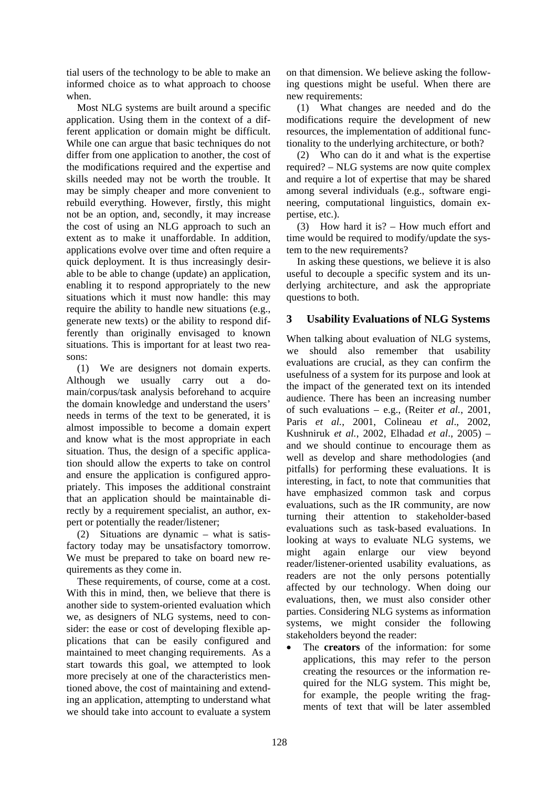tial users of the technology to be able to make an informed choice as to what approach to choose when.

Most NLG systems are built around a specific application. Using them in the context of a different application or domain might be difficult. While one can argue that basic techniques do not differ from one application to another, the cost of the modifications required and the expertise and skills needed may not be worth the trouble. It may be simply cheaper and more convenient to rebuild everything. However, firstly, this might not be an option, and, secondly, it may increase the cost of using an NLG approach to such an extent as to make it unaffordable. In addition, applications evolve over time and often require a quick deployment. It is thus increasingly desirable to be able to change (update) an application, enabling it to respond appropriately to the new situations which it must now handle: this may require the ability to handle new situations (e.g., generate new texts) or the ability to respond differently than originally envisaged to known situations. This is important for at least two reasons:

(1) We are designers not domain experts. Although we usually carry out a domain/corpus/task analysis beforehand to acquire the domain knowledge and understand the users' needs in terms of the text to be generated, it is almost impossible to become a domain expert and know what is the most appropriate in each situation. Thus, the design of a specific application should allow the experts to take on control and ensure the application is configured appropriately. This imposes the additional constraint that an application should be maintainable directly by a requirement specialist, an author, expert or potentially the reader/listener;

(2) Situations are dynamic – what is satisfactory today may be unsatisfactory tomorrow. We must be prepared to take on board new requirements as they come in.

These requirements, of course, come at a cost. With this in mind, then, we believe that there is another side to system-oriented evaluation which we, as designers of NLG systems, need to consider: the ease or cost of developing flexible applications that can be easily configured and maintained to meet changing requirements. As a start towards this goal, we attempted to look more precisely at one of the characteristics mentioned above, the cost of maintaining and extending an application, attempting to understand what we should take into account to evaluate a system

on that dimension. We believe asking the following questions might be useful. When there are new requirements:

(1) What changes are needed and do the modifications require the development of new resources, the implementation of additional functionality to the underlying architecture, or both?

(2) Who can do it and what is the expertise required? – NLG systems are now quite complex and require a lot of expertise that may be shared among several individuals (e.g., software engineering, computational linguistics, domain expertise, etc.).

(3) How hard it is? – How much effort and time would be required to modify/update the system to the new requirements?

In asking these questions, we believe it is also useful to decouple a specific system and its underlying architecture, and ask the appropriate questions to both.

## **3 Usability Evaluations of NLG Systems**

When talking about evaluation of NLG systems, we should also remember that usability evaluations are crucial, as they can confirm the usefulness of a system for its purpose and look at the impact of the generated text on its intended audience. There has been an increasing number of such evaluations – e.g., (Reiter *et al.*, 2001, Paris *et al.*, 2001, Colineau *et al*., 2002, Kushniruk *et al.*, 2002, Elhadad *et al*., 2005) – and we should continue to encourage them as well as develop and share methodologies (and pitfalls) for performing these evaluations. It is interesting, in fact, to note that communities that have emphasized common task and corpus evaluations, such as the IR community, are now turning their attention to stakeholder-based evaluations such as task-based evaluations. In looking at ways to evaluate NLG systems, we might again enlarge our view beyond reader/listener-oriented usability evaluations, as readers are not the only persons potentially affected by our technology. When doing our evaluations, then, we must also consider other parties. Considering NLG systems as information systems, we might consider the following stakeholders beyond the reader:

The **creators** of the information: for some applications, this may refer to the person creating the resources or the information required for the NLG system. This might be, for example, the people writing the fragments of text that will be later assembled